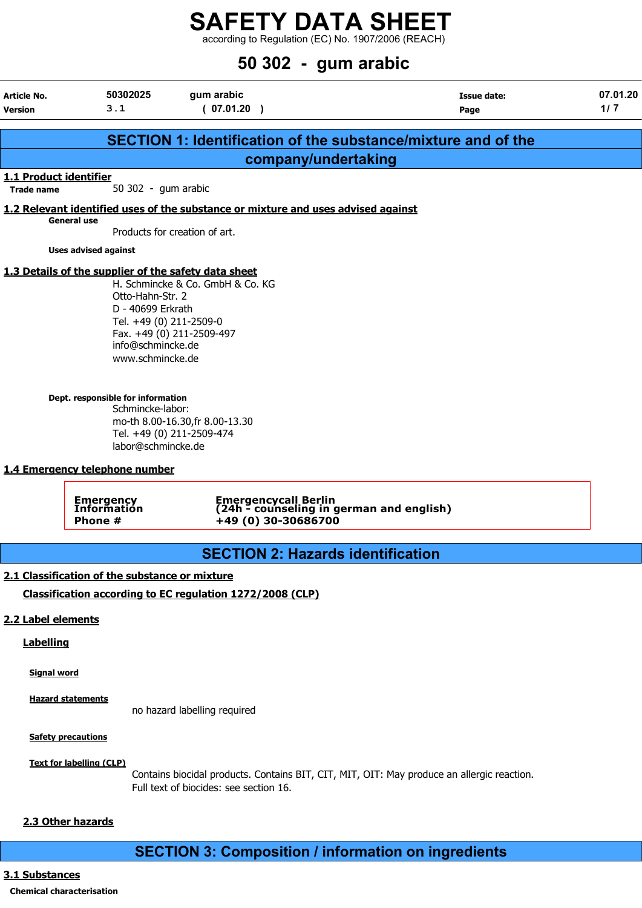$\frac{22}{12}$  according to Regulation (EC) No. 1907/2006 (REACH)

# $\overline{50}$  300  $\overline{9}$   $\overline{20}$   $\overline{20}$   $\overline{20}$   $\overline{20}$   $\overline{20}$   $\overline{20}$   $\overline{20}$   $\overline{20}$   $\overline{20}$   $\overline{20}$   $\overline{20}$   $\overline{20}$   $\overline{20}$   $\overline{20}$   $\overline{20}$   $\overline{20}$   $\overline{20}$   $\overline{20}$   $\overline{20}$   $\overline{20}$

|                                        |                                                                                                                                                                                                                            | $50\,302$ - gum arabic                                                                                                        |                            |                 |
|----------------------------------------|----------------------------------------------------------------------------------------------------------------------------------------------------------------------------------------------------------------------------|-------------------------------------------------------------------------------------------------------------------------------|----------------------------|-----------------|
| Article No.<br><b>Version</b>          | 50302025<br>3.1                                                                                                                                                                                                            | gum arabic<br>(07.01.20)                                                                                                      | <b>Issue date:</b><br>Page | 07.01.20<br>1/7 |
|                                        |                                                                                                                                                                                                                            | <b>SECTION 1: Identification of the substance/mixture and of the</b>                                                          |                            |                 |
|                                        |                                                                                                                                                                                                                            | company/undertaking                                                                                                           |                            |                 |
| 1.1 Product identifier<br>Trade name   | 50 302 - gum arabic                                                                                                                                                                                                        |                                                                                                                               |                            |                 |
|                                        |                                                                                                                                                                                                                            | 1.2 Relevant identified uses of the substance or mixture and uses advised against                                             |                            |                 |
| General use                            |                                                                                                                                                                                                                            | Products for creation of art.                                                                                                 |                            |                 |
|                                        | <b>Uses advised against</b>                                                                                                                                                                                                |                                                                                                                               |                            |                 |
|                                        | Otto-Hahn-Str. 2<br>D - 40699 Erkrath<br>Tel. +49 (0) 211-2509-0<br>info@schmincke.de<br>www.schmincke.de<br>Dept. responsible for information<br>Schmincke-labor:<br>labor@schmincke.de<br>1.4 Emergency telephone number | H. Schmincke & Co. GmbH & Co. KG<br>Fax. +49 (0) 211-2509-497<br>mo-th 8.00-16.30, fr 8.00-13.30<br>Tel. +49 (0) 211-2509-474 |                            |                 |
|                                        | <b>Emergency<br/>Information</b><br>Phone #                                                                                                                                                                                | Emergencycall Berlin<br>(24h - counseling in german and english)<br>+49 (0) 30-30686700                                       |                            |                 |
|                                        |                                                                                                                                                                                                                            | <b>SECTION 2: Hazards identification</b>                                                                                      |                            |                 |
|                                        | 2.1 Classification of the substance or mixture                                                                                                                                                                             |                                                                                                                               |                            |                 |
|                                        |                                                                                                                                                                                                                            | Classification according to EC regulation 1272/2008 (CLP)                                                                     |                            |                 |
| 2.2 Label elements<br><b>Labelling</b> |                                                                                                                                                                                                                            |                                                                                                                               |                            |                 |
| <b>Signal word</b>                     |                                                                                                                                                                                                                            |                                                                                                                               |                            |                 |
| <b>Hazard statements</b>               |                                                                                                                                                                                                                            | no hazard labelling required                                                                                                  |                            |                 |

**Safety precautions** 

Text for labelling (CLP)

Contains biocidal products. Contains BIT, CIT, MIT, OIT: May produce an allergic reaction. Full text of biocides: see section 16.

#### 2.3 Other hazards

# SECTION 3: Composition / information on ingredients

#### 3.1 Substances

### Chemical characterisation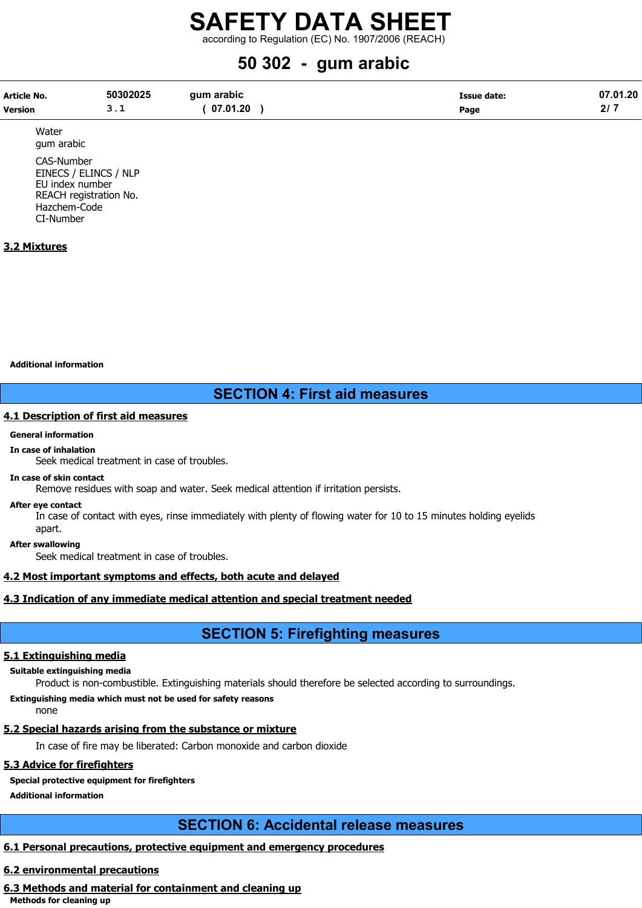according to Regulation (EC) No. 1907/2006 (REACH)

# 50 302 - gum arabic

| Article No.    | 50302025 | qum arabic | Issue date: | 07.01.20 |
|----------------|----------|------------|-------------|----------|
| <b>Version</b> |          | 07.01.20   | Page        |          |

Water gum arabic

CAS-Number EINECS / ELINCS / NLP EU index number REACH registration No. Hazchem-Code CI-Number

#### 3.2 Mixtures

Additional information

# SECTION 4: First aid measures

#### 4.1 Description of first aid measures

#### General information

In case of inhalation

Seek medical treatment in case of troubles.

#### In case of skin contact

Remove residues with soap and water. Seek medical attention if irritation persists.

#### After eye contact

In case of contact with eyes, rinse immediately with plenty of flowing water for 10 to 15 minutes holding eyelids

apart. After swallowing

Seek medical treatment in case of troubles.

#### 4.2 Most important symptoms and effects, both acute and delayed

#### 4.3 Indication of any immediate medical attention and special treatment needed

## SECTION 5: Firefighting measures

#### 5.1 Extinguishing media

#### Suitable extinguishing media

Product is non-combustible. Extinguishing materials should therefore be selected according to surroundings.

Extinguishing media which must not be used for safety reasons

none

## 5.2 Special hazards arising from the substance or mixture

In case of fire may be liberated: Carbon monoxide and carbon dioxide

## 5.3 Advice for firefighters

### Special protective equipment for firefighters

Additional information

# SECTION 6: Accidental release measures

## 6.1 Personal precautions, protective equipment and emergency procedures

## 6.2 environmental precautions

# 6.3 Methods and material for containment and cleaning up

Methods for cleaning up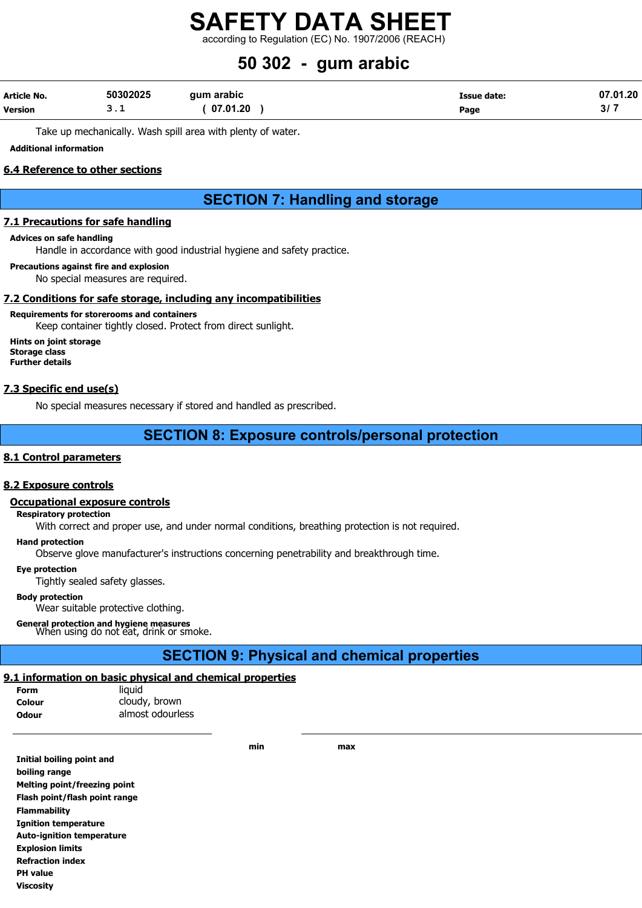according to Regulation (EC) No. 1907/2006 (REACH)

# 50 302 - gum arabic

| <b>Article No.</b> | 50302025 | qum arabic | Issue date: | 07.01.20 |
|--------------------|----------|------------|-------------|----------|
| <b>Version</b>     |          | 07.01.20   | Page        | ، اد     |

Take up mechanically. Wash spill area with plenty of water.

#### Additional information

#### 6.4 Reference to other sections

# SECTION 7: Handling and storage

#### 7.1 Precautions for safe handling

#### Advices on safe handling

Handle in accordance with good industrial hygiene and safety practice.

Precautions against fire and explosion No special measures are required.

#### 7.2 Conditions for safe storage, including any incompatibilities

#### Requirements for storerooms and containers

Keep container tightly closed. Protect from direct sunlight.

Hints on joint storage Storage class Further details

#### 7.3 Specific end use(s)

No special measures necessary if stored and handled as prescribed.

### SECTION 8: Exposure controls/personal protection

#### 8.1 Control parameters

#### 8.2 Exposure controls

#### Occupational exposure controls

Respiratory protection

With correct and proper use, and under normal conditions, breathing protection is not required.

#### Hand protection

Observe glove manufacturer's instructions concerning penetrability and breakthrough time.

#### Eye protection

Tightly sealed safety glasses.

#### Body protection

Wear suitable protective clothing.

General protection and hygiene measures<br>When using do not eat, drink or smoke.

## SECTION 9: Physical and chemical properties

#### 9.1 information on basic physical and chemical properties

Form liquid Colour cloudy, brown Odour almost odourless

min max

| Initial boiling point and        |
|----------------------------------|
| boiling range                    |
| Melting point/freezing point     |
| Flash point/flash point range    |
| <b>Flammability</b>              |
| <b>Ignition temperature</b>      |
| <b>Auto-ignition temperature</b> |
| <b>Explosion limits</b>          |
| <b>Refraction index</b>          |
| <b>PH</b> value                  |
| <b>Viscosity</b>                 |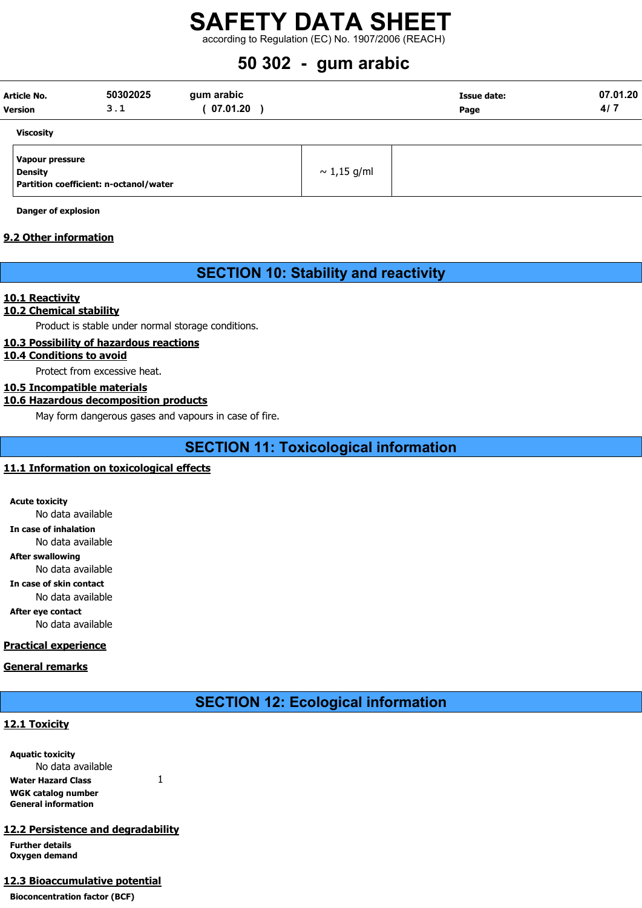# SAFETY DATA SHEET according to Regulation (EC) No. 1907/2006 (REACH)

# 50 302 - gum arabic

| <b>Version</b> | <b>Article No.</b>                | 50302025<br>3.1                        | gum arabic<br>07.01.20 |                  | <b>Issue date:</b><br>Page | 07.01.20<br>4/7 |
|----------------|-----------------------------------|----------------------------------------|------------------------|------------------|----------------------------|-----------------|
|                | <b>Viscosity</b>                  |                                        |                        |                  |                            |                 |
|                | Vapour pressure<br><b>Density</b> | Partition coefficient: n-octanol/water |                        | $\sim 1.15$ g/ml |                            |                 |

Danger of explosion

#### 9.2 Other information

# SECTION 10: Stability and reactivity

#### 10.1 Reactivity

#### 10.2 Chemical stability

Product is stable under normal storage conditions.

#### 10.3 Possibility of hazardous reactions

10.4 Conditions to avoid

Protect from excessive heat.

#### 10.5 Incompatible materials

#### 10.6 Hazardous decomposition products

May form dangerous gases and vapours in case of fire.

# SECTION 11: Toxicological information

#### 11.1 Information on toxicological effects

Acute toxicity No data available In case of inhalation No data available After swallowing

No data available

In case of skin contact No data available

After eye contact

No data available

#### Practical experience

#### General remarks

## SECTION 12: Ecological information

#### 12.1 Toxicity

| <b>Aquatic toxicity</b>    |  |
|----------------------------|--|
| No data available          |  |
| <b>Water Hazard Class</b>  |  |
| WGK catalog number         |  |
| <b>General information</b> |  |

#### 12.2 Persistence and degradability

Further details Oxygen demand

#### 12.3 Bioaccumulative potential

Bioconcentration factor (BCF)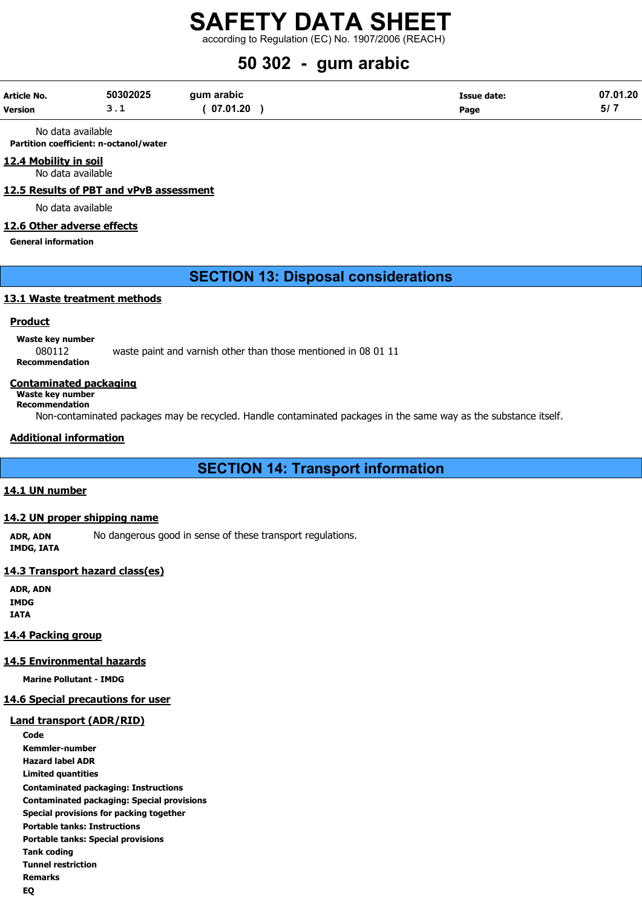according to Regulation (EC) No. 1907/2006 (REACH)

# 50 302 - gum arabic

| Article No. | 50302025   | qum arabic | Issue date: | 07.01.20 |
|-------------|------------|------------|-------------|----------|
| Version     | <u>. .</u> | 07.01.20   | Page        |          |

No data available

Partition coefficient: n-octanol/water

#### 12.4 Mobility in soil

No data available

12.5 Results of PBT and vPvB assessment

No data available

#### 12.6 Other adverse effects

General information

### SECTION 13: Disposal considerations

#### 13.1 Waste treatment methods

#### **Product**

Waste key number

080112 waste paint and varnish other than those mentioned in 08 01 11 Recommendation

#### Contaminated packaging

Waste key number Recommendation

Non-contaminated packages may be recycled. Handle contaminated packages in the same way as the substance itself.

#### Additional information

SECTION 14: Transport information

#### 14.1 UN number

#### 14.2 UN proper shipping name

ADR, ADN No dangerous good in sense of these transport regulations. IMDG, IATA

### 14.3 Transport hazard class(es)

ADR, ADN IMDG IATA

#### 14.4 Packing group

#### 14.5 Environmental hazards

Marine Pollutant - IMDG

#### 14.6 Special precautions for user

#### Land transport (ADR/RID)

**Code** Kemmler-number Hazard label ADR Limited quantities Contaminated packaging: Instructions Contaminated packaging: Special provisions Special provisions for packing together Portable tanks: Instructions Portable tanks: Special provisions Tank coding Tunnel restriction Remarks EQ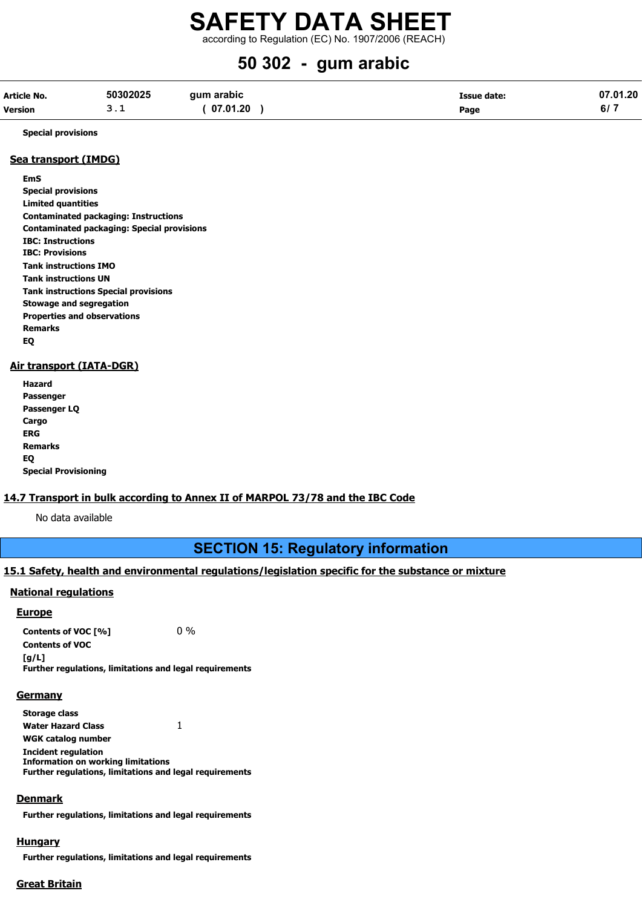according to Regulation (EC) No. 1907/2006 (REACH)

# 50 302 - gum arabic

| Article No.    | 50302025 | qum arabic | Issue date: | 07.01.20   |
|----------------|----------|------------|-------------|------------|
| <b>Version</b> |          | 07.01.20   | Page        | <b>b</b> / |

Special provisions

#### Sea transport (IMDG)

EmS Special provisions Limited quantities Contaminated packaging: Instructions Contaminated packaging: Special provisions IBC: Instructions IBC: Provisions Tank instructions IMO Tank instructions UN Tank instructions Special provisions Stowage and segregation Properties and observations Remarks EQ

#### Air transport (IATA-DGR)

| Hazard                      |
|-----------------------------|
| Passenger                   |
| Passenger LQ                |
| Cargo                       |
| ERG                         |
| Remarks                     |
| EQ                          |
| <b>Special Provisioning</b> |

#### 14.7 Transport in bulk according to Annex II of MARPOL 73/78 and the IBC Code

No data available

## SECTION 15: Regulatory information

#### 15.1 Safety, health and environmental regulations/legislation specific for the substance or mixture

#### National regulations

#### **Europe**

Contents of VOC  $[%]$  0% Contents of VOC [g/L] Further regulations, limitations and legal requirements

#### **Germany**

Storage class Water Hazard Class 1 WGK catalog number Incident regulation Information on working limitations Further regulations, limitations and legal requirements

#### Denmark

Further regulations, limitations and legal requirements

#### **Hungary**

Further regulations, limitations and legal requirements

#### Great Britain